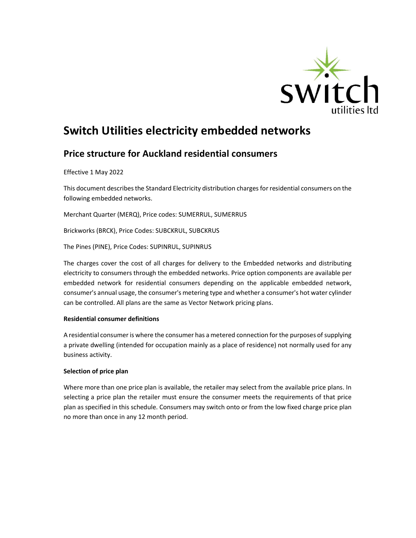

# Switch Utilities electricity embedded networks

# Price structure for Auckland residential consumers

Effective 1 May 2022

This document describes the Standard Electricity distribution charges for residential consumers on the following embedded networks.

Merchant Quarter (MERQ), Price codes: SUMERRUL, SUMERRUS

Brickworks (BRCK), Price Codes: SUBCKRUL, SUBCKRUS

The Pines (PINE), Price Codes: SUPINRUL, SUPINRUS

The charges cover the cost of all charges for delivery to the Embedded networks and distributing electricity to consumers through the embedded networks. Price option components are available per embedded network for residential consumers depending on the applicable embedded network, consumer's annual usage, the consumer's metering type and whether a consumer's hot water cylinder can be controlled. All plans are the same as Vector Network pricing plans.

### Residential consumer definitions

A residential consumer is where the consumer has a metered connection for the purposes of supplying a private dwelling (intended for occupation mainly as a place of residence) not normally used for any business activity.

# Selection of price plan

Where more than one price plan is available, the retailer may select from the available price plans. In selecting a price plan the retailer must ensure the consumer meets the requirements of that price plan as specified in this schedule. Consumers may switch onto or from the low fixed charge price plan no more than once in any 12 month period.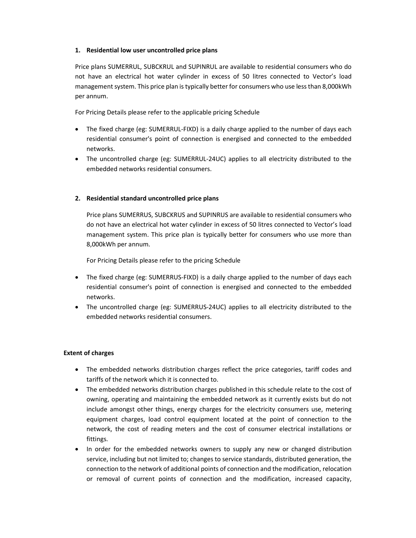### 1. Residential low user uncontrolled price plans

Price plans SUMERRUL, SUBCKRUL and SUPINRUL are available to residential consumers who do not have an electrical hot water cylinder in excess of 50 litres connected to Vector's load management system. This price plan is typically better for consumers who use less than 8,000kWh per annum.

For Pricing Details please refer to the applicable pricing Schedule

- The fixed charge (eg: SUMERRUL-FIXD) is a daily charge applied to the number of days each residential consumer's point of connection is energised and connected to the embedded networks.
- The uncontrolled charge (eg: SUMERRUL-24UC) applies to all electricity distributed to the embedded networks residential consumers.

# 2. Residential standard uncontrolled price plans

Price plans SUMERRUS, SUBCKRUS and SUPINRUS are available to residential consumers who do not have an electrical hot water cylinder in excess of 50 litres connected to Vector's load management system. This price plan is typically better for consumers who use more than 8,000kWh per annum.

For Pricing Details please refer to the pricing Schedule

- The fixed charge (eg: SUMERRUS-FIXD) is a daily charge applied to the number of days each residential consumer's point of connection is energised and connected to the embedded networks.
- The uncontrolled charge (eg: SUMERRUS-24UC) applies to all electricity distributed to the embedded networks residential consumers.

### Extent of charges

- The embedded networks distribution charges reflect the price categories, tariff codes and tariffs of the network which it is connected to.
- The embedded networks distribution charges published in this schedule relate to the cost of owning, operating and maintaining the embedded network as it currently exists but do not include amongst other things, energy charges for the electricity consumers use, metering equipment charges, load control equipment located at the point of connection to the network, the cost of reading meters and the cost of consumer electrical installations or fittings.
- In order for the embedded networks owners to supply any new or changed distribution service, including but not limited to; changes to service standards, distributed generation, the connection to the network of additional points of connection and the modification, relocation or removal of current points of connection and the modification, increased capacity,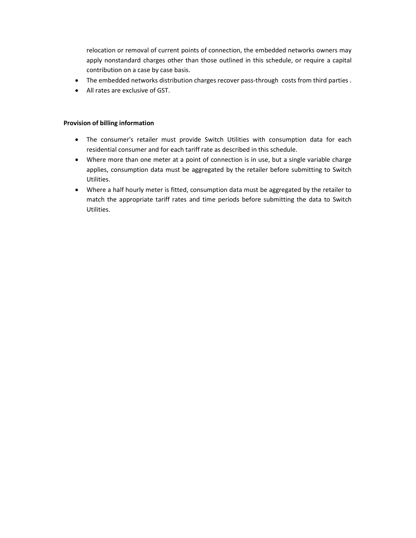relocation or removal of current points of connection, the embedded networks owners may apply nonstandard charges other than those outlined in this schedule, or require a capital contribution on a case by case basis.

- The embedded networks distribution charges recover pass-through costs from third parties .
- All rates are exclusive of GST.

### Provision of billing information

- The consumer's retailer must provide Switch Utilities with consumption data for each residential consumer and for each tariff rate as described in this schedule.
- Where more than one meter at a point of connection is in use, but a single variable charge applies, consumption data must be aggregated by the retailer before submitting to Switch Utilities.
- Where a half hourly meter is fitted, consumption data must be aggregated by the retailer to match the appropriate tariff rates and time periods before submitting the data to Switch Utilities.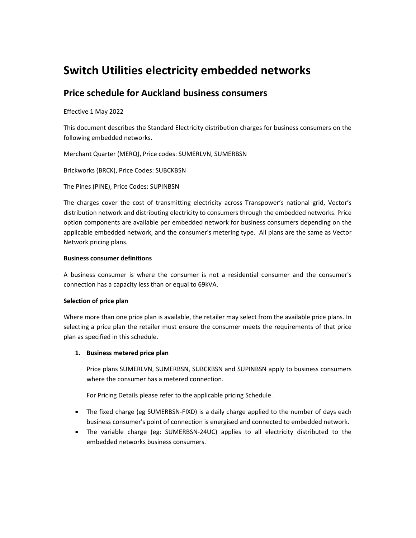# Switch Utilities electricity embedded networks

# Price schedule for Auckland business consumers

# Effective 1 May 2022

This document describes the Standard Electricity distribution charges for business consumers on the following embedded networks.

Merchant Quarter (MERQ), Price codes: SUMERLVN, SUMERBSN

Brickworks (BRCK), Price Codes: SUBCKBSN

The Pines (PINE), Price Codes: SUPINBSN

The charges cover the cost of transmitting electricity across Transpower's national grid, Vector's distribution network and distributing electricity to consumers through the embedded networks. Price option components are available per embedded network for business consumers depending on the applicable embedded network, and the consumer's metering type. All plans are the same as Vector Network pricing plans.

### Business consumer definitions

A business consumer is where the consumer is not a residential consumer and the consumer's connection has a capacity less than or equal to 69kVA.

# Selection of price plan

Where more than one price plan is available, the retailer may select from the available price plans. In selecting a price plan the retailer must ensure the consumer meets the requirements of that price plan as specified in this schedule.

# 1. Business metered price plan

Price plans SUMERLVN, SUMERBSN, SUBCKBSN and SUPINBSN apply to business consumers where the consumer has a metered connection.

For Pricing Details please refer to the applicable pricing Schedule.

- The fixed charge (eg SUMERBSN-FIXD) is a daily charge applied to the number of days each business consumer's point of connection is energised and connected to embedded network.
- The variable charge (eg: SUMERBSN-24UC) applies to all electricity distributed to the embedded networks business consumers.